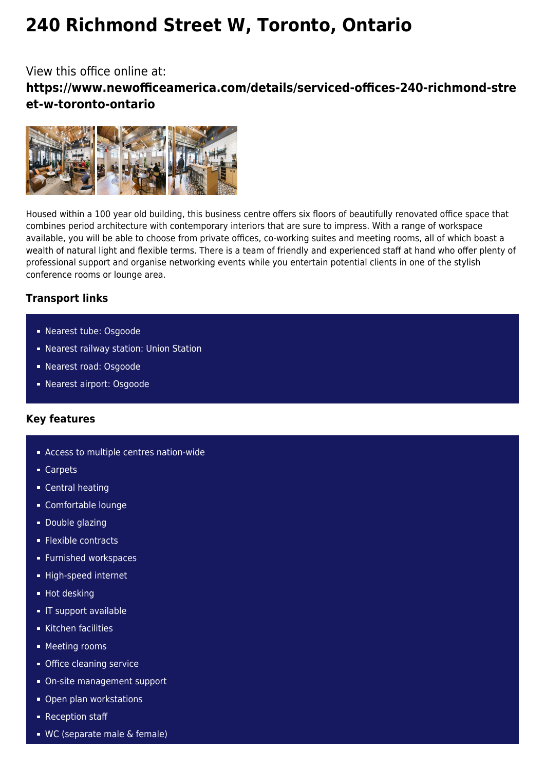# **240 Richmond Street W, Toronto, Ontario**

## View this office online at: **https://www.newofficeamerica.com/details/serviced-offices-240-richmond-stre et-w-toronto-ontario**



Housed within a 100 year old building, this business centre offers six floors of beautifully renovated office space that combines period architecture with contemporary interiors that are sure to impress. With a range of workspace available, you will be able to choose from private offices, co-working suites and meeting rooms, all of which boast a wealth of natural light and flexible terms. There is a team of friendly and experienced staff at hand who offer plenty of professional support and organise networking events while you entertain potential clients in one of the stylish conference rooms or lounge area.

### **Transport links**

- Nearest tube: Osgoode
- Nearest railway station: Union Station
- Nearest road: Osgoode
- Nearest airport: Osgoode

#### **Key features**

- **Access to multiple centres nation-wide**
- Carpets
- **Central heating**
- Comfortable lounge
- **Double glazing**
- **Flexible contracts**
- **Furnished workspaces**
- High-speed internet
- **Hot desking**
- **IF support available**
- Kitchen facilities
- **Meeting rooms**
- **Office cleaning service**
- On-site management support
- **Open plan workstations**
- Reception staff
- WC (separate male & female)